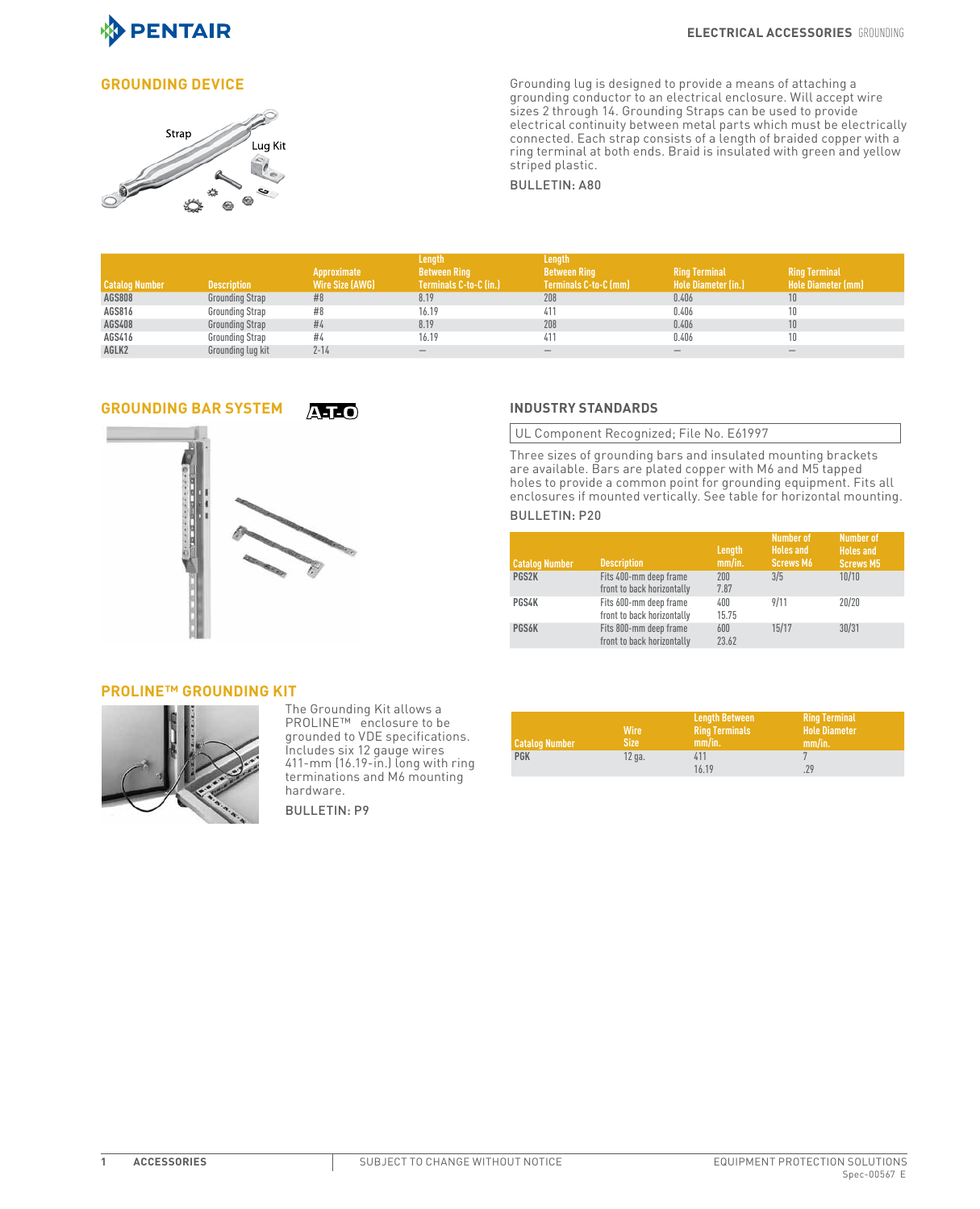

## *Grounding*



**GROUNDING DEVICE**<br>GROUNDING DEVICE and the state of the state of the state of the state of the state of the state of the state of<br>grounding conductor to an electrical enclosure. Will accept wire sizes 2 through 14. Grounding Straps can be used to provide electrical continuity between metal parts which must be electrically connected. Each strap consists of a length of braided copper with a ring terminal at both ends. Braid is insulated with green and yellow striped plastic.

BULLETIN: A80

|                       |                    |                 | Length                 | Length                       |                            |                           |
|-----------------------|--------------------|-----------------|------------------------|------------------------------|----------------------------|---------------------------|
|                       |                    | Approximate     | <b>Between Ring</b>    | <b>Between Ring</b>          | <b>Ring Terminal</b>       | <b>Ring Terminal</b>      |
| <b>Catalog Number</b> | <b>Description</b> | Wire Size (AWG) | Terminals C-to-C (in.) | <b>Terminals C-to-C (mm)</b> | <b>Hole Diameter (in.)</b> | <b>Hole Diameter (mm)</b> |
| <b>AGS808</b>         | Grounding Strap    | #8              | 8.19                   | 208                          | 0.406                      | 10                        |
| AGS816                | Grounding Strap    | #8              | 16.19                  | 411                          | 0.406                      |                           |
| AGS408                | Grounding Strap    | #4              | 8.19                   | 208                          | 0.406                      | 10                        |
| AGS416                | Grounding Strap    | #4              | 16.19                  | 411                          | 0.406                      | 10                        |
| AGLK2                 | Grounding lug kit  | $2 - 14$        |                        |                              |                            |                           |

# **Grounding Bar System INDUSTRY STANDARDS**



UL Component Recognized; File No. E61997

Three sizes of grounding bars and insulated mounting brackets are available. Bars are plated copper with M6 and M5 tapped holes to provide a common point for grounding equipment. Fits all enclosures if mounted vertically. See table for horizontal mounting.

### BULLETIN: P20

| <b>Catalog Number</b> | <b>Description</b>                                   | Length<br>mm/in. | <b>Number of</b><br><b>Holes</b> and<br><b>Screws M6</b> | Number of<br><b>Holes</b> and<br><b>Screws M5</b> |
|-----------------------|------------------------------------------------------|------------------|----------------------------------------------------------|---------------------------------------------------|
| PGS2K                 | Fits 400-mm deep frame<br>front to back horizontally | 200<br>7.87      | 3/5                                                      | 10/10                                             |
| PGS4K                 | Fits 600-mm deep frame<br>front to back horizontally | 400<br>15.75     | 9/11                                                     | 20/20                                             |
| <b>PGS6K</b>          | Fits 800-mm deep frame<br>front to back horizontally | 600<br>23.62     | 15/17                                                    | 30/31                                             |

### **PROLINE™ Grounding Kit**



The Grounding Kit allows a PROLINE™ enclosure to be grounded to VDE specifications. Includes six 12 gauge wires 411-mm (16.19-in.) long with ring terminations and M6 mounting hardware.

BULLETIN: P9

| Catalog Number | Wire<br>Size | <b>Lenath Between</b><br><b>Ring Terminals</b><br>mm/in. | <b>Ring Terminal</b><br><b>Hole Diameter</b><br>mm/in. |
|----------------|--------------|----------------------------------------------------------|--------------------------------------------------------|
| <b>PGK</b>     | $12$ ga.     | 411                                                      |                                                        |
|                |              | 16.19                                                    | .29                                                    |